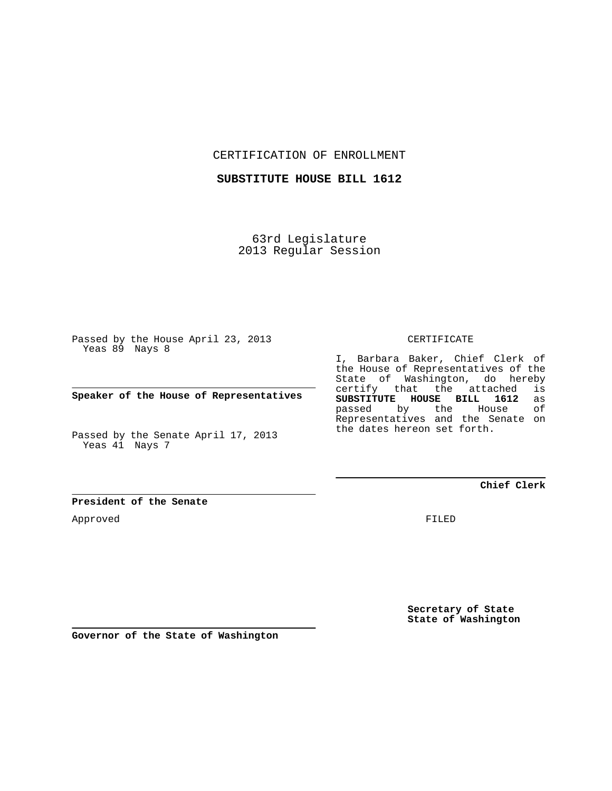CERTIFICATION OF ENROLLMENT

**SUBSTITUTE HOUSE BILL 1612**

63rd Legislature 2013 Regular Session

Passed by the House April 23, 2013 Yeas 89 Nays 8

**Speaker of the House of Representatives**

Passed by the Senate April 17, 2013 Yeas 41 Nays 7

I, Barbara Baker, Chief Clerk of the House of Representatives of the State of Washington, do hereby certify that the attached is<br>SUBSTITUTE HOUSE BILL 1612 as **SUBSTITUTE HOUSE BILL 1612** as passed by the Representatives and the Senate on the dates hereon set forth.

CERTIFICATE

**Chief Clerk**

**President of the Senate**

Approved

FILED

**Secretary of State State of Washington**

**Governor of the State of Washington**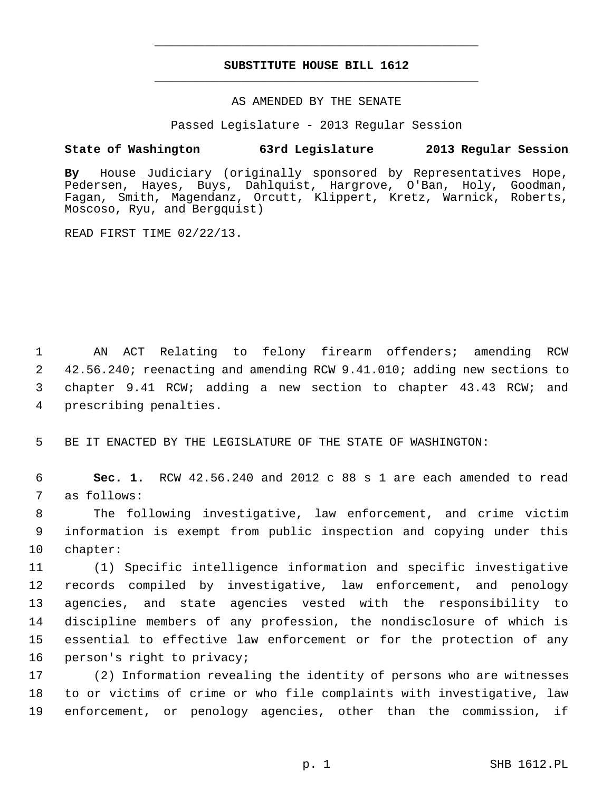## **SUBSTITUTE HOUSE BILL 1612** \_\_\_\_\_\_\_\_\_\_\_\_\_\_\_\_\_\_\_\_\_\_\_\_\_\_\_\_\_\_\_\_\_\_\_\_\_\_\_\_\_\_\_\_\_

\_\_\_\_\_\_\_\_\_\_\_\_\_\_\_\_\_\_\_\_\_\_\_\_\_\_\_\_\_\_\_\_\_\_\_\_\_\_\_\_\_\_\_\_\_

## AS AMENDED BY THE SENATE

Passed Legislature - 2013 Regular Session

## **State of Washington 63rd Legislature 2013 Regular Session**

**By** House Judiciary (originally sponsored by Representatives Hope, Pedersen, Hayes, Buys, Dahlquist, Hargrove, O'Ban, Holy, Goodman, Fagan, Smith, Magendanz, Orcutt, Klippert, Kretz, Warnick, Roberts, Moscoso, Ryu, and Bergquist)

READ FIRST TIME 02/22/13.

 1 AN ACT Relating to felony firearm offenders; amending RCW 2 42.56.240; reenacting and amending RCW 9.41.010; adding new sections to 3 chapter 9.41 RCW; adding a new section to chapter 43.43 RCW; and 4 prescribing penalties.

5 BE IT ENACTED BY THE LEGISLATURE OF THE STATE OF WASHINGTON:

 6 **Sec. 1.** RCW 42.56.240 and 2012 c 88 s 1 are each amended to read 7 as follows:

 8 The following investigative, law enforcement, and crime victim 9 information is exempt from public inspection and copying under this 10 chapter:

11 (1) Specific intelligence information and specific investigative 12 records compiled by investigative, law enforcement, and penology 13 agencies, and state agencies vested with the responsibility to 14 discipline members of any profession, the nondisclosure of which is 15 essential to effective law enforcement or for the protection of any 16 person's right to privacy;

17 (2) Information revealing the identity of persons who are witnesses 18 to or victims of crime or who file complaints with investigative, law 19 enforcement, or penology agencies, other than the commission, if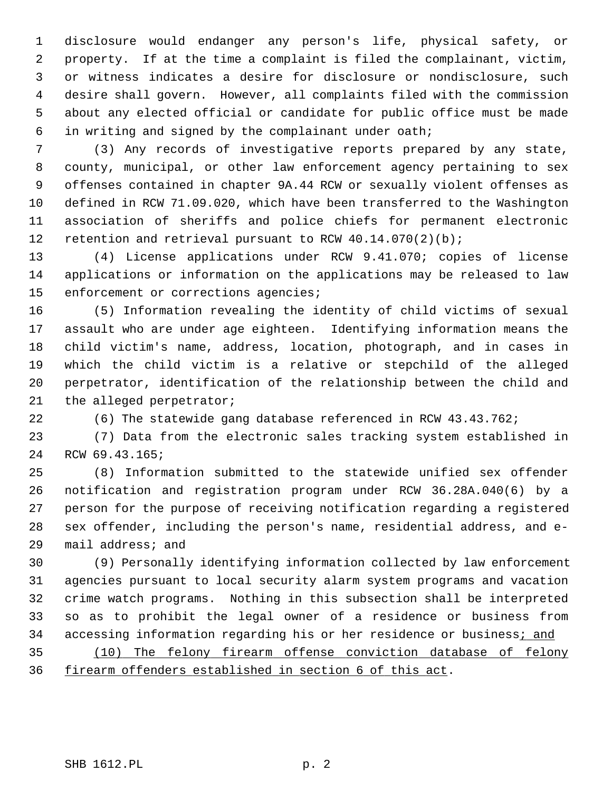1 disclosure would endanger any person's life, physical safety, or 2 property. If at the time a complaint is filed the complainant, victim, 3 or witness indicates a desire for disclosure or nondisclosure, such 4 desire shall govern. However, all complaints filed with the commission 5 about any elected official or candidate for public office must be made 6 in writing and signed by the complainant under oath;

 7 (3) Any records of investigative reports prepared by any state, 8 county, municipal, or other law enforcement agency pertaining to sex 9 offenses contained in chapter 9A.44 RCW or sexually violent offenses as 10 defined in RCW 71.09.020, which have been transferred to the Washington 11 association of sheriffs and police chiefs for permanent electronic 12 retention and retrieval pursuant to RCW 40.14.070(2)(b);

13 (4) License applications under RCW 9.41.070; copies of license 14 applications or information on the applications may be released to law 15 enforcement or corrections agencies;

16 (5) Information revealing the identity of child victims of sexual 17 assault who are under age eighteen. Identifying information means the 18 child victim's name, address, location, photograph, and in cases in 19 which the child victim is a relative or stepchild of the alleged 20 perpetrator, identification of the relationship between the child and 21 the alleged perpetrator;

22 (6) The statewide gang database referenced in RCW 43.43.762;

23 (7) Data from the electronic sales tracking system established in 24 RCW 69.43.165;

25 (8) Information submitted to the statewide unified sex offender 26 notification and registration program under RCW 36.28A.040(6) by a 27 person for the purpose of receiving notification regarding a registered 28 sex offender, including the person's name, residential address, and e-29 mail address; and

30 (9) Personally identifying information collected by law enforcement 31 agencies pursuant to local security alarm system programs and vacation 32 crime watch programs. Nothing in this subsection shall be interpreted 33 so as to prohibit the legal owner of a residence or business from 34 accessing information regarding his or her residence or business; and

35 (10) The felony firearm offense conviction database of felony 36 firearm offenders established in section 6 of this act.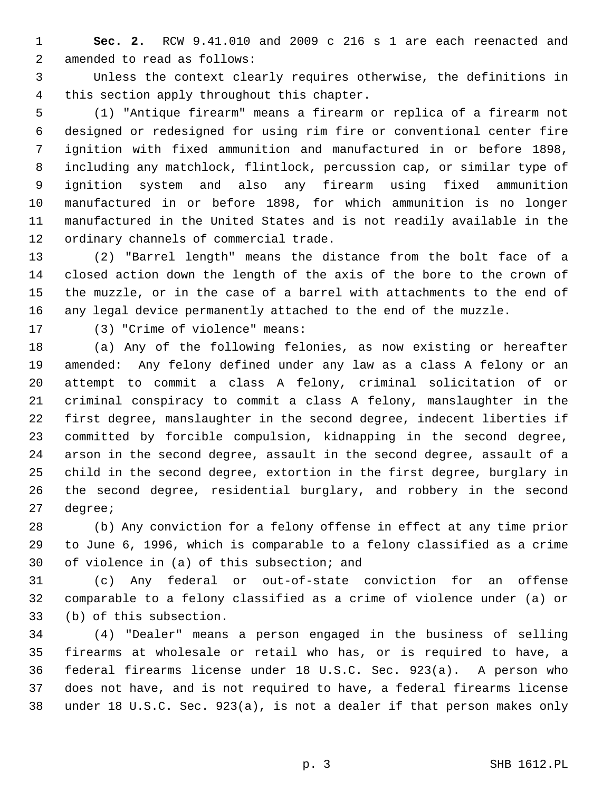1 **Sec. 2.** RCW 9.41.010 and 2009 c 216 s 1 are each reenacted and 2 amended to read as follows:

 3 Unless the context clearly requires otherwise, the definitions in 4 this section apply throughout this chapter.

 5 (1) "Antique firearm" means a firearm or replica of a firearm not 6 designed or redesigned for using rim fire or conventional center fire 7 ignition with fixed ammunition and manufactured in or before 1898, 8 including any matchlock, flintlock, percussion cap, or similar type of 9 ignition system and also any firearm using fixed ammunition 10 manufactured in or before 1898, for which ammunition is no longer 11 manufactured in the United States and is not readily available in the 12 ordinary channels of commercial trade.

13 (2) "Barrel length" means the distance from the bolt face of a 14 closed action down the length of the axis of the bore to the crown of 15 the muzzle, or in the case of a barrel with attachments to the end of 16 any legal device permanently attached to the end of the muzzle.

17 (3) "Crime of violence" means:

18 (a) Any of the following felonies, as now existing or hereafter 19 amended: Any felony defined under any law as a class A felony or an 20 attempt to commit a class A felony, criminal solicitation of or 21 criminal conspiracy to commit a class A felony, manslaughter in the 22 first degree, manslaughter in the second degree, indecent liberties if 23 committed by forcible compulsion, kidnapping in the second degree, 24 arson in the second degree, assault in the second degree, assault of a 25 child in the second degree, extortion in the first degree, burglary in 26 the second degree, residential burglary, and robbery in the second 27 degree;

28 (b) Any conviction for a felony offense in effect at any time prior 29 to June 6, 1996, which is comparable to a felony classified as a crime 30 of violence in (a) of this subsection; and

31 (c) Any federal or out-of-state conviction for an offense 32 comparable to a felony classified as a crime of violence under (a) or 33 (b) of this subsection.

34 (4) "Dealer" means a person engaged in the business of selling 35 firearms at wholesale or retail who has, or is required to have, a 36 federal firearms license under 18 U.S.C. Sec. 923(a). A person who 37 does not have, and is not required to have, a federal firearms license 38 under 18 U.S.C. Sec. 923(a), is not a dealer if that person makes only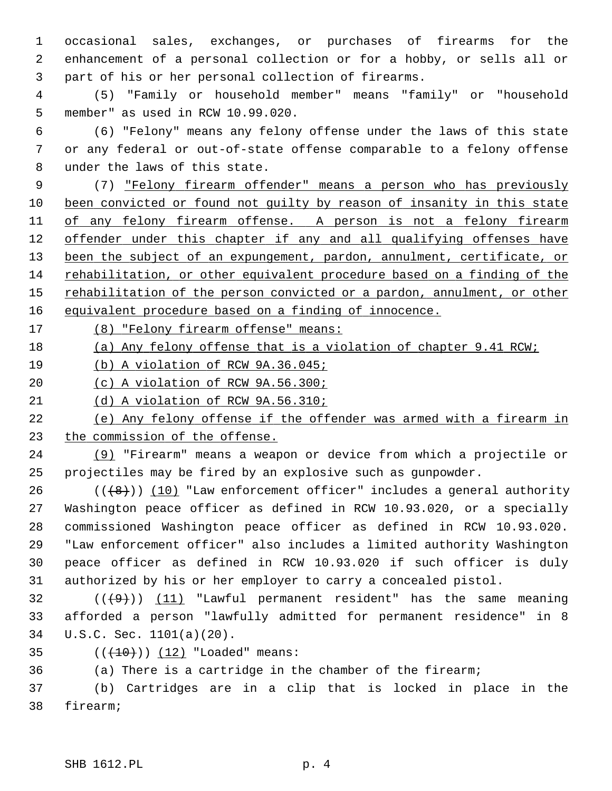1 occasional sales, exchanges, or purchases of firearms for the 2 enhancement of a personal collection or for a hobby, or sells all or 3 part of his or her personal collection of firearms.

 4 (5) "Family or household member" means "family" or "household 5 member" as used in RCW 10.99.020.

 6 (6) "Felony" means any felony offense under the laws of this state 7 or any federal or out-of-state offense comparable to a felony offense 8 under the laws of this state.

 9 (7) "Felony firearm offender" means a person who has previously been convicted or found not guilty by reason of insanity in this state of any felony firearm offense. A person is not a felony firearm offender under this chapter if any and all qualifying offenses have 13 been the subject of an expungement, pardon, annulment, certificate, or rehabilitation, or other equivalent procedure based on a finding of the rehabilitation of the person convicted or a pardon, annulment, or other equivalent procedure based on a finding of innocence.

17 (8) "Felony firearm offense" means:

18 (a) Any felony offense that is a violation of chapter 9.41 RCW;

19 (b) A violation of RCW 9A.36.045;

20 (c) A violation of RCW 9A.56.300;

21 (d) A violation of RCW 9A.56.310;

22 (e) Any felony offense if the offender was armed with a firearm in 23 the commission of the offense.

24 (9) "Firearm" means a weapon or device from which a projectile or 25 projectiles may be fired by an explosive such as gunpowder.

26  $((+8))$  (10) "Law enforcement officer" includes a general authority 27 Washington peace officer as defined in RCW 10.93.020, or a specially 28 commissioned Washington peace officer as defined in RCW 10.93.020. 29 "Law enforcement officer" also includes a limited authority Washington 30 peace officer as defined in RCW 10.93.020 if such officer is duly 31 authorized by his or her employer to carry a concealed pistol.

 $(1)$  (( $(9)$ )) (11) "Lawful permanent resident" has the same meaning 33 afforded a person "lawfully admitted for permanent residence" in 8 34 U.S.C. Sec. 1101(a)(20).

35  $((+10)) (12)$  "Loaded" means:

36 (a) There is a cartridge in the chamber of the firearm;

37 (b) Cartridges are in a clip that is locked in place in the 38 firearm;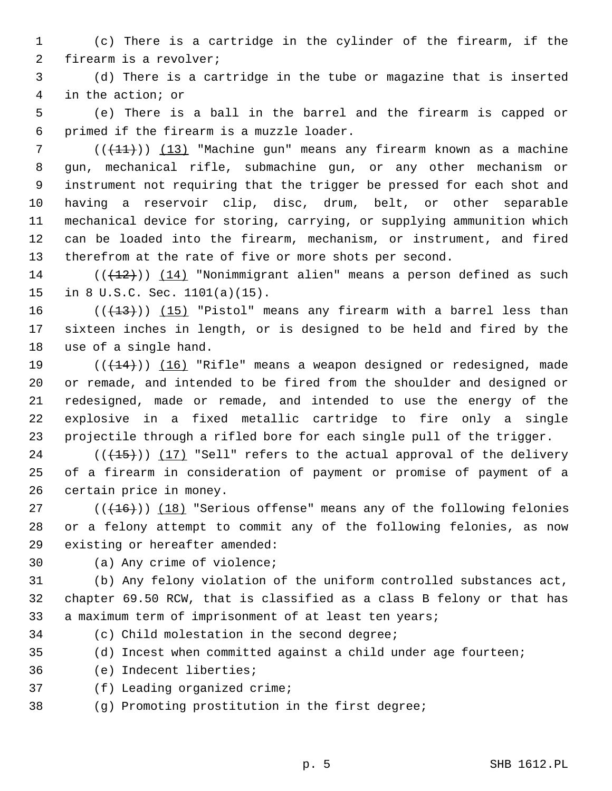1 (c) There is a cartridge in the cylinder of the firearm, if the 2 firearm is a revolver;

 3 (d) There is a cartridge in the tube or magazine that is inserted 4 in the action; or

 5 (e) There is a ball in the barrel and the firearm is capped or 6 primed if the firearm is a muzzle loader.

 $7$  (( $\left(\frac{11}{11}\right)$ ) (13) "Machine gun" means any firearm known as a machine 8 gun, mechanical rifle, submachine gun, or any other mechanism or 9 instrument not requiring that the trigger be pressed for each shot and 10 having a reservoir clip, disc, drum, belt, or other separable 11 mechanical device for storing, carrying, or supplying ammunition which 12 can be loaded into the firearm, mechanism, or instrument, and fired 13 therefrom at the rate of five or more shots per second.

 $14$  (( $(12)$ )) (14) "Nonimmigrant alien" means a person defined as such 15 in 8 U.S.C. Sec. 1101(a)(15).

16  $((+13))$  (15) "Pistol" means any firearm with a barrel less than 17 sixteen inches in length, or is designed to be held and fired by the 18 use of a single hand.

19  $((+14))$   $(16)$  "Rifle" means a weapon designed or redesigned, made 20 or remade, and intended to be fired from the shoulder and designed or 21 redesigned, made or remade, and intended to use the energy of the 22 explosive in a fixed metallic cartridge to fire only a single 23 projectile through a rifled bore for each single pull of the trigger.

24  $((+15))$  (17) "Sell" refers to the actual approval of the delivery 25 of a firearm in consideration of payment or promise of payment of a 26 certain price in money.

27  $((+16))$  (18) "Serious offense" means any of the following felonies 28 or a felony attempt to commit any of the following felonies, as now 29 existing or hereafter amended:

30 (a) Any crime of violence;

31 (b) Any felony violation of the uniform controlled substances act, 32 chapter 69.50 RCW, that is classified as a class B felony or that has 33 a maximum term of imprisonment of at least ten years;

34 (c) Child molestation in the second degree;

35 (d) Incest when committed against a child under age fourteen;

36 (e) Indecent liberties;

37 (f) Leading organized crime;

38 (g) Promoting prostitution in the first degree;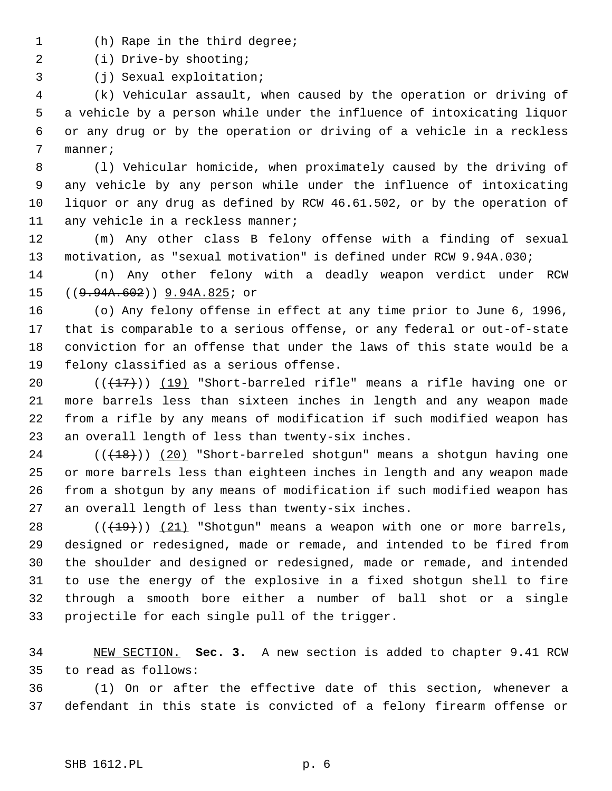- 1 (h) Rape in the third degree;
- 2 (i) Drive-by shooting;

3 (j) Sexual exploitation;

 4 (k) Vehicular assault, when caused by the operation or driving of 5 a vehicle by a person while under the influence of intoxicating liquor 6 or any drug or by the operation or driving of a vehicle in a reckless 7 manner;

 8 (l) Vehicular homicide, when proximately caused by the driving of 9 any vehicle by any person while under the influence of intoxicating 10 liquor or any drug as defined by RCW 46.61.502, or by the operation of 11 any vehicle in a reckless manner;

12 (m) Any other class B felony offense with a finding of sexual 13 motivation, as "sexual motivation" is defined under RCW 9.94A.030;

14 (n) Any other felony with a deadly weapon verdict under RCW 15 ((9.94A.602)) 9.94A.825; or

16 (o) Any felony offense in effect at any time prior to June 6, 1996, 17 that is comparable to a serious offense, or any federal or out-of-state 18 conviction for an offense that under the laws of this state would be a 19 felony classified as a serious offense.

20  $((+17))$  (19) "Short-barreled rifle" means a rifle having one or 21 more barrels less than sixteen inches in length and any weapon made 22 from a rifle by any means of modification if such modified weapon has 23 an overall length of less than twenty-six inches.

24  $((+18))$  (20) "Short-barreled shotgun" means a shotgun having one 25 or more barrels less than eighteen inches in length and any weapon made 26 from a shotgun by any means of modification if such modified weapon has 27 an overall length of less than twenty-six inches.

28  $((+19))$   $(21)$  "Shotgun" means a weapon with one or more barrels, 29 designed or redesigned, made or remade, and intended to be fired from 30 the shoulder and designed or redesigned, made or remade, and intended 31 to use the energy of the explosive in a fixed shotgun shell to fire 32 through a smooth bore either a number of ball shot or a single 33 projectile for each single pull of the trigger.

34 NEW SECTION. **Sec. 3.** A new section is added to chapter 9.41 RCW 35 to read as follows:

36 (1) On or after the effective date of this section, whenever a 37 defendant in this state is convicted of a felony firearm offense or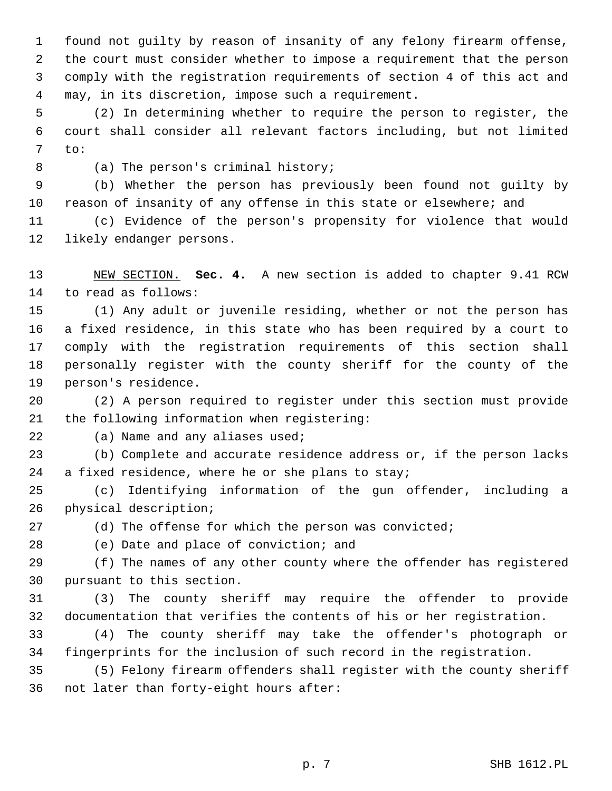1 found not guilty by reason of insanity of any felony firearm offense, 2 the court must consider whether to impose a requirement that the person 3 comply with the registration requirements of section 4 of this act and 4 may, in its discretion, impose such a requirement.

 5 (2) In determining whether to require the person to register, the 6 court shall consider all relevant factors including, but not limited 7 to:

8 (a) The person's criminal history;

 9 (b) Whether the person has previously been found not guilty by 10 reason of insanity of any offense in this state or elsewhere; and

11 (c) Evidence of the person's propensity for violence that would 12 likely endanger persons.

13 NEW SECTION. **Sec. 4.** A new section is added to chapter 9.41 RCW 14 to read as follows:

15 (1) Any adult or juvenile residing, whether or not the person has 16 a fixed residence, in this state who has been required by a court to 17 comply with the registration requirements of this section shall 18 personally register with the county sheriff for the county of the 19 person's residence.

20 (2) A person required to register under this section must provide 21 the following information when registering:

22 (a) Name and any aliases used;

23 (b) Complete and accurate residence address or, if the person lacks 24 a fixed residence, where he or she plans to stay;

25 (c) Identifying information of the gun offender, including a 26 physical description;

27 (d) The offense for which the person was convicted;

28 (e) Date and place of conviction; and

29 (f) The names of any other county where the offender has registered 30 pursuant to this section.

31 (3) The county sheriff may require the offender to provide 32 documentation that verifies the contents of his or her registration.

33 (4) The county sheriff may take the offender's photograph or 34 fingerprints for the inclusion of such record in the registration.

35 (5) Felony firearm offenders shall register with the county sheriff 36 not later than forty-eight hours after: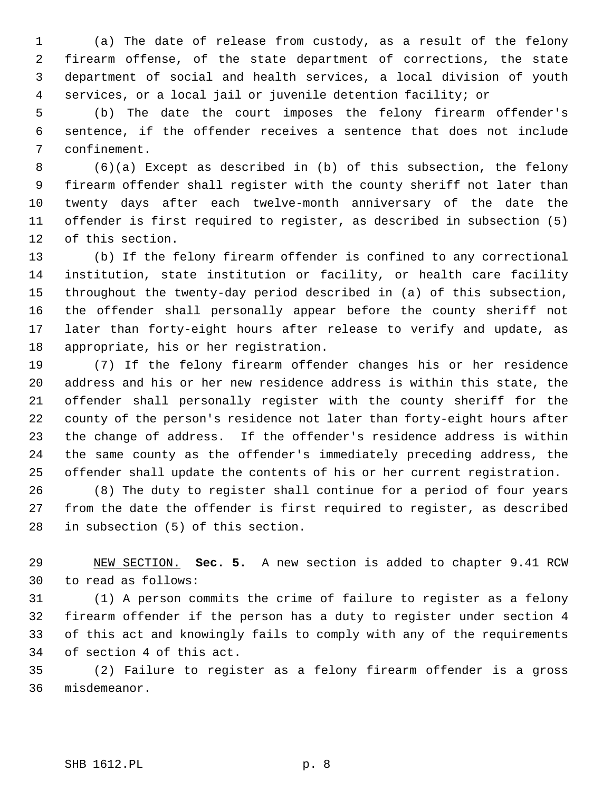1 (a) The date of release from custody, as a result of the felony 2 firearm offense, of the state department of corrections, the state 3 department of social and health services, a local division of youth 4 services, or a local jail or juvenile detention facility; or

 5 (b) The date the court imposes the felony firearm offender's 6 sentence, if the offender receives a sentence that does not include 7 confinement.

 8 (6)(a) Except as described in (b) of this subsection, the felony 9 firearm offender shall register with the county sheriff not later than 10 twenty days after each twelve-month anniversary of the date the 11 offender is first required to register, as described in subsection (5) 12 of this section.

13 (b) If the felony firearm offender is confined to any correctional 14 institution, state institution or facility, or health care facility 15 throughout the twenty-day period described in (a) of this subsection, 16 the offender shall personally appear before the county sheriff not 17 later than forty-eight hours after release to verify and update, as 18 appropriate, his or her registration.

19 (7) If the felony firearm offender changes his or her residence 20 address and his or her new residence address is within this state, the 21 offender shall personally register with the county sheriff for the 22 county of the person's residence not later than forty-eight hours after 23 the change of address. If the offender's residence address is within 24 the same county as the offender's immediately preceding address, the 25 offender shall update the contents of his or her current registration.

26 (8) The duty to register shall continue for a period of four years 27 from the date the offender is first required to register, as described 28 in subsection (5) of this section.

29 NEW SECTION. **Sec. 5.** A new section is added to chapter 9.41 RCW 30 to read as follows:

31 (1) A person commits the crime of failure to register as a felony 32 firearm offender if the person has a duty to register under section 4 33 of this act and knowingly fails to comply with any of the requirements 34 of section 4 of this act.

35 (2) Failure to register as a felony firearm offender is a gross 36 misdemeanor.